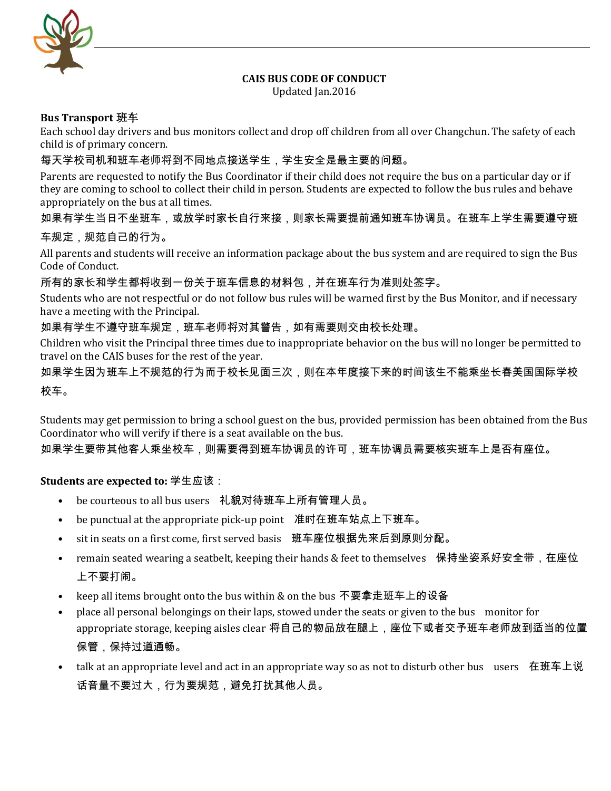

# **CAIS BUS CODE OF CONDUCT**

Updated Jan.2016

#### **Bus Transport** 班车

Each school day drivers and bus monitors collect and drop off children from all over Changchun. The safety of each child is of primary concern.

# 每天学校司机和班车老师将到不同地点接送学生,学生安全是最主要的问题。

Parents are requested to notify the Bus Coordinator if their child does not require the bus on a particular day or if they are coming to school to collect their child in person. Students are expected to follow the bus rules and behave appropriately on the bus at all times.

### 如果有学生当日不坐班车,或放学时家长自行来接,则家长需要提前通知班车协调员。在班车上学生需要遵守班

#### 车规定,规范自己的行为。

All parents and students will receive an information package about the bus system and are required to sign the Bus Code of Conduct.

所有的家长和学生都将收到一份关于班车信息的材料包,并在班车行为准则处签字。

Students who are not respectful or do not follow bus rules will be warned first by the Bus Monitor, and if necessary have a meeting with the Principal.

### 如果有学生不遵守班车规定,班车老师将对其警告,如有需要则交由校长处理。

Children who visit the Principal three times due to inappropriate behavior on the bus will no longer be permitted to travel on the CAIS buses for the rest of the year.

如果学生因为班车上不规范的行为而于校长见面三次,则在本年度接下来的时间该生不能乘坐长春美国国际学校 校车。

Students may get permission to bring a school guest on the bus, provided permission has been obtained from the Bus Coordinator who will verify if there is a seat available on the bus.

如果学生要带其他客人乘坐校车,则需要得到班车协调员的许可,班车协调员需要核实班车上是否有座位。

### **Students are expected to:** 学生应该:

- be courteous to all bus users 礼貌对待班车上所有管理人员。
- be punctual at the appropriate pick-up point 准时在班车站点上下班车。
- sit in seats on a first come, first served basis 班车座位根据先来后到原则分配。
- Femain seated wearing a seatbelt, keeping their hands & feet to themselves 保持坐姿系好安全带,在座位 上不要打闹。
- keep all items brought onto the bus within & on the bus 不要拿走班车上的设备
- place all personal belongings on their laps, stowed under the seats or given to the bus monitor for appropriate storage, keeping aisles clear 将自己的物品放在腿上,座位下或者交予班车老师放到适当的位置 保管,保持过道通畅。
- talk at an appropriate level and act in an appropriate way so as not to disturb other bus users 在班车上说 话音量不要过大,行为要规范,避免打扰其他人员。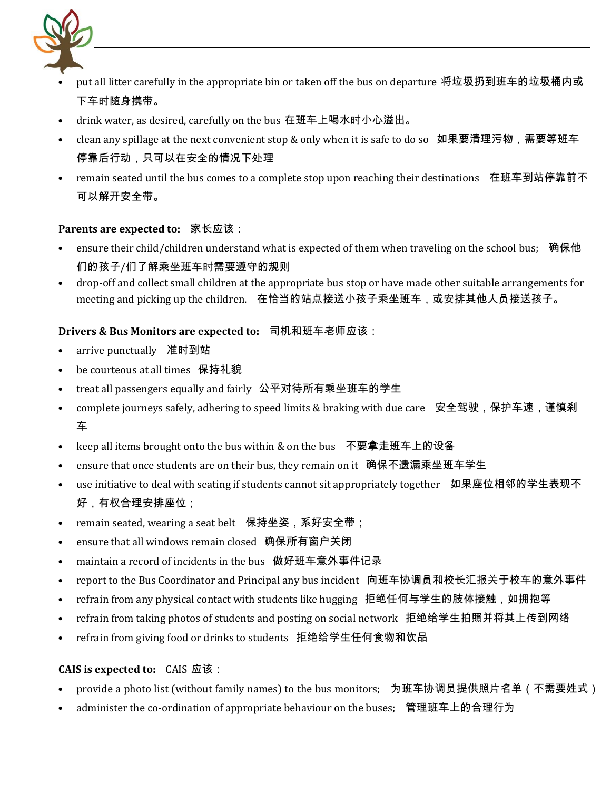

- put all litter carefully in the appropriate bin or taken off the bus on departure 将垃圾扔到班车的垃圾桶内或 下车时随身携带。
- drink water, as desired, carefully on the bus 在班车上喝水时小心溢出。
- clean any spillage at the next convenient stop & only when it is safe to do so 如果要清理污物,需要等班车 停靠后行动,只可以在安全的情况下处理
- remain seated until the bus comes to a complete stop upon reaching their destinations 在班车到站停靠前不 可以解开安全带。

#### **Parents are expected to:** 家长应该:

- ensure their child/children understand what is expected of them when traveling on the school bus; 确保他 们的孩子/们了解乘坐班车时需要遵守的规则
- drop-off and collect small children at the appropriate bus stop or have made other suitable arrangements for meeting and picking up the children. 在恰当的站点接送小孩子乘坐班车,或安排其他人员接送孩子。

#### **Drivers & Bus Monitors are expected to:** 司机和班车老师应该:

- arrive punctually 准时到站
- be courteous at all times 保持礼貌
- treat all passengers equally and fairly 公平对待所有乘坐班车的学生
- complete journeys safely, adhering to speed limits & braking with due care 安全驾驶,保护车速,谨慎刹 车
- keep all items brought onto the bus within & on the bus 不要拿走班车上的设备
- ensure that once students are on their bus, they remain on it 确保不遗漏乘坐班车学生
- use initiative to deal with seating if students cannot sit appropriately together 如果座位相邻的学生表现不 好,有权合理安排座位;
- remain seated, wearing a seat belt 保持坐姿, 系好安全带;
- ensure that all windows remain closed 确保所有窗户关闭
- maintain a record of incidents in the bus 做好班车意外事件记录
- report to the Bus Coordinator and Principal any bus incident 向班车协调员和校长汇报关于校车的意外事件
- refrain from any physical contact with students like hugging 拒绝任何与学生的肢体接触,如拥抱等
- refrain from taking photos of students and posting on social network 拒绝给学生拍照并将其上传到网络
- refrain from giving food or drinks to students 拒绝给学生任何食物和饮品

#### **CAIS is expected to:** CAIS 应该:

- provide a photo list (without family names) to the bus monitors; 为班车协调员提供照片名单 (不需要姓式)
- administer the co-ordination of appropriate behaviour on the buses; 管理班车上的合理行为